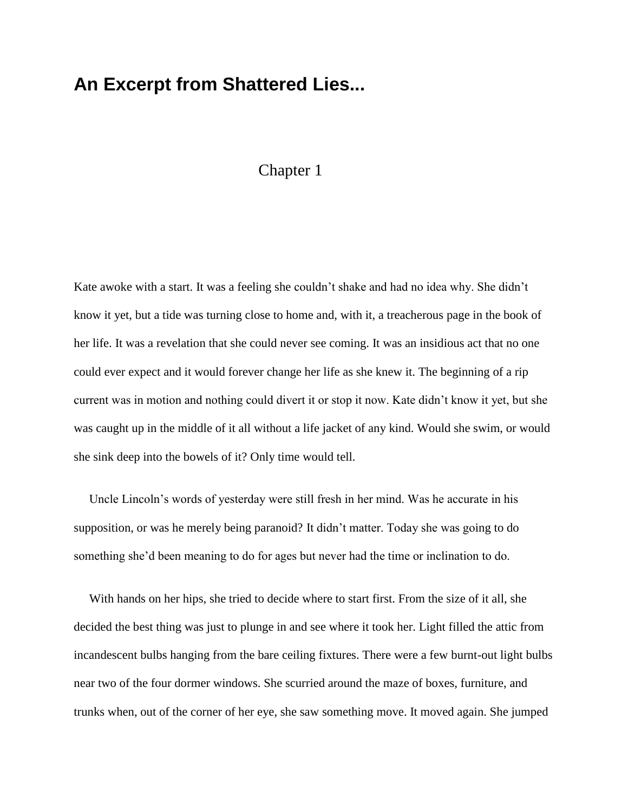## **An Excerpt from Shattered Lies...**

## Chapter 1

Kate awoke with a start. It was a feeling she couldn't shake and had no idea why. She didn't know it yet, but a tide was turning close to home and, with it, a treacherous page in the book of her life. It was a revelation that she could never see coming. It was an insidious act that no one could ever expect and it would forever change her life as she knew it. The beginning of a rip current was in motion and nothing could divert it or stop it now. Kate didn't know it yet, but she was caught up in the middle of it all without a life jacket of any kind. Would she swim, or would she sink deep into the bowels of it? Only time would tell.

 Uncle Lincoln's words of yesterday were still fresh in her mind. Was he accurate in his supposition, or was he merely being paranoid? It didn't matter. Today she was going to do something she'd been meaning to do for ages but never had the time or inclination to do.

 With hands on her hips, she tried to decide where to start first. From the size of it all, she decided the best thing was just to plunge in and see where it took her. Light filled the attic from incandescent bulbs hanging from the bare ceiling fixtures. There were a few burnt-out light bulbs near two of the four dormer windows. She scurried around the maze of boxes, furniture, and trunks when, out of the corner of her eye, she saw something move. It moved again. She jumped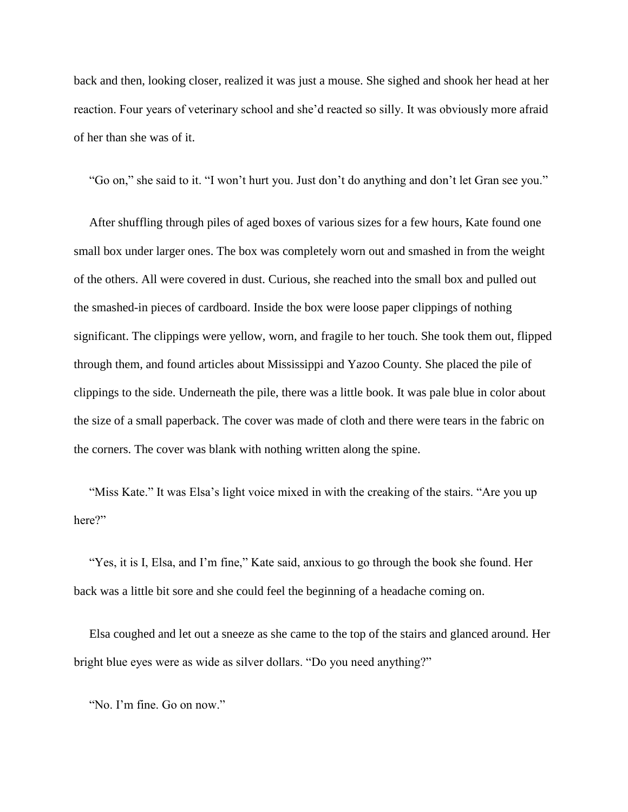back and then, looking closer, realized it was just a mouse. She sighed and shook her head at her reaction. Four years of veterinary school and she'd reacted so silly. It was obviously more afraid of her than she was of it.

"Go on," she said to it. "I won't hurt you. Just don't do anything and don't let Gran see you."

 After shuffling through piles of aged boxes of various sizes for a few hours, Kate found one small box under larger ones. The box was completely worn out and smashed in from the weight of the others. All were covered in dust. Curious, she reached into the small box and pulled out the smashed-in pieces of cardboard. Inside the box were loose paper clippings of nothing significant. The clippings were yellow, worn, and fragile to her touch. She took them out, flipped through them, and found articles about Mississippi and Yazoo County. She placed the pile of clippings to the side. Underneath the pile, there was a little book. It was pale blue in color about the size of a small paperback. The cover was made of cloth and there were tears in the fabric on the corners. The cover was blank with nothing written along the spine.

"Miss Kate." It was Elsa's light voice mixed in with the creaking of the stairs. "Are you up here?"

 "Yes, it is I, Elsa, and I'm fine," Kate said, anxious to go through the book she found. Her back was a little bit sore and she could feel the beginning of a headache coming on.

 Elsa coughed and let out a sneeze as she came to the top of the stairs and glanced around. Her bright blue eyes were as wide as silver dollars. "Do you need anything?"

"No. I'm fine. Go on now."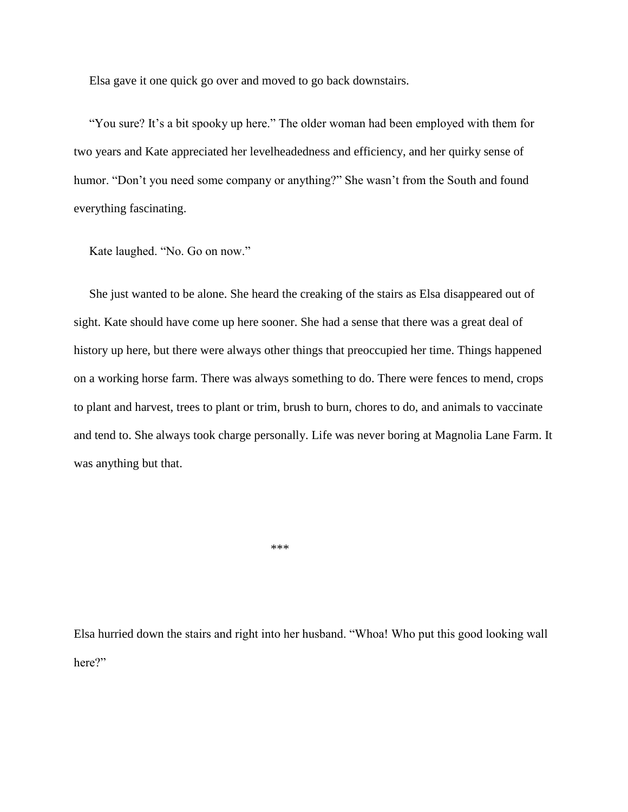Elsa gave it one quick go over and moved to go back downstairs.

 "You sure? It's a bit spooky up here." The older woman had been employed with them for two years and Kate appreciated her levelheadedness and efficiency, and her quirky sense of humor. "Don't you need some company or anything?" She wasn't from the South and found everything fascinating.

Kate laughed. "No. Go on now."

 She just wanted to be alone. She heard the creaking of the stairs as Elsa disappeared out of sight. Kate should have come up here sooner. She had a sense that there was a great deal of history up here, but there were always other things that preoccupied her time. Things happened on a working horse farm. There was always something to do. There were fences to mend, crops to plant and harvest, trees to plant or trim, brush to burn, chores to do, and animals to vaccinate and tend to. She always took charge personally. Life was never boring at Magnolia Lane Farm. It was anything but that.

 $***$ 

Elsa hurried down the stairs and right into her husband. "Whoa! Who put this good looking wall here?"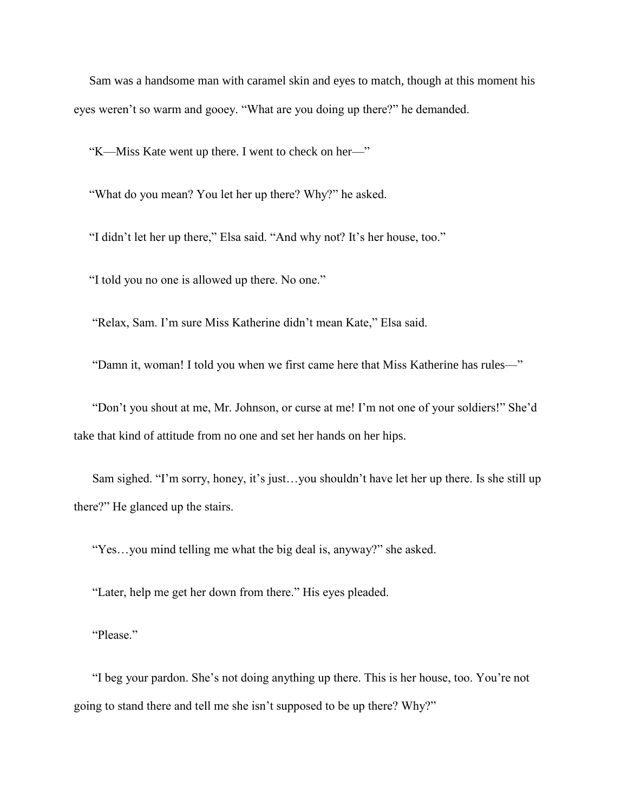Sam was a handsome man with caramel skin and eyes to match, though at this moment his eyes weren't so warm and gooey. "What are you doing up there?" he demanded.

"K—Miss Kate went up there. I went to check on her—"

"What do you mean? You let her up there? Why?" he asked.

"I didn't let her up there," Elsa said. "And why not? It's her house, too."

"I told you no one is allowed up there. No one."

"Relax, Sam. I'm sure Miss Katherine didn't mean Kate," Elsa said.

"Damn it, woman! I told you when we first came here that Miss Katherine has rules—"

 "Don't you shout at me, Mr. Johnson, or curse at me! I'm not one of your soldiers!" She'd take that kind of attitude from no one and set her hands on her hips.

 Sam sighed. "I'm sorry, honey, it's just…you shouldn't have let her up there. Is she still up there?" He glanced up the stairs.

"Yes…you mind telling me what the big deal is, anyway?" she asked.

"Later, help me get her down from there." His eyes pleaded.

"Please."

 "I beg your pardon. She's not doing anything up there. This is her house, too. You're not going to stand there and tell me she isn't supposed to be up there? Why?"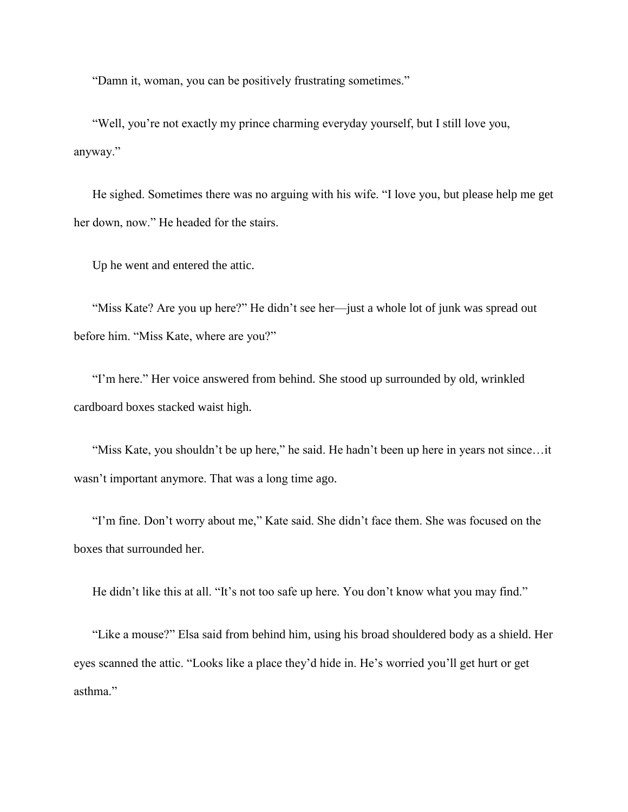"Damn it, woman, you can be positively frustrating sometimes."

 "Well, you're not exactly my prince charming everyday yourself, but I still love you, anyway."

 He sighed. Sometimes there was no arguing with his wife. "I love you, but please help me get her down, now." He headed for the stairs.

Up he went and entered the attic.

 "Miss Kate? Are you up here?" He didn't see her—just a whole lot of junk was spread out before him. "Miss Kate, where are you?"

 "I'm here." Her voice answered from behind. She stood up surrounded by old, wrinkled cardboard boxes stacked waist high.

 "Miss Kate, you shouldn't be up here," he said. He hadn't been up here in years not since…it wasn't important anymore. That was a long time ago.

 "I'm fine. Don't worry about me," Kate said. She didn't face them. She was focused on the boxes that surrounded her.

He didn't like this at all. "It's not too safe up here. You don't know what you may find."

 "Like a mouse?" Elsa said from behind him, using his broad shouldered body as a shield. Her eyes scanned the attic. "Looks like a place they'd hide in. He's worried you'll get hurt or get asthma"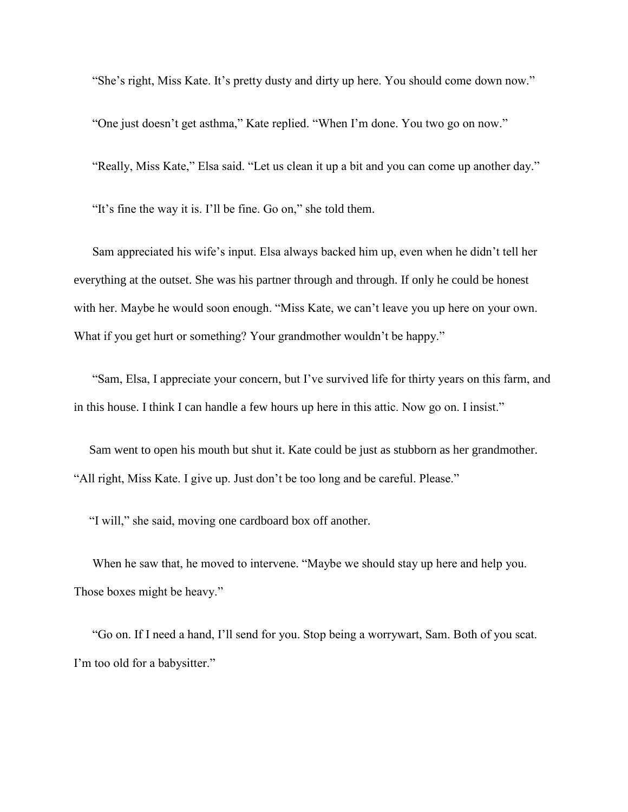"She's right, Miss Kate. It's pretty dusty and dirty up here. You should come down now."

"One just doesn't get asthma," Kate replied. "When I'm done. You two go on now."

"Really, Miss Kate," Elsa said. "Let us clean it up a bit and you can come up another day."

"It's fine the way it is. I'll be fine. Go on," she told them.

 Sam appreciated his wife's input. Elsa always backed him up, even when he didn't tell her everything at the outset. She was his partner through and through. If only he could be honest with her. Maybe he would soon enough. "Miss Kate, we can't leave you up here on your own. What if you get hurt or something? Your grandmother wouldn't be happy."

 "Sam, Elsa, I appreciate your concern, but I've survived life for thirty years on this farm, and in this house. I think I can handle a few hours up here in this attic. Now go on. I insist."

 Sam went to open his mouth but shut it. Kate could be just as stubborn as her grandmother. "All right, Miss Kate. I give up. Just don't be too long and be careful. Please."

"I will," she said, moving one cardboard box off another.

 When he saw that, he moved to intervene. "Maybe we should stay up here and help you. Those boxes might be heavy."

 "Go on. If I need a hand, I'll send for you. Stop being a worrywart, Sam. Both of you scat. I'm too old for a babysitter."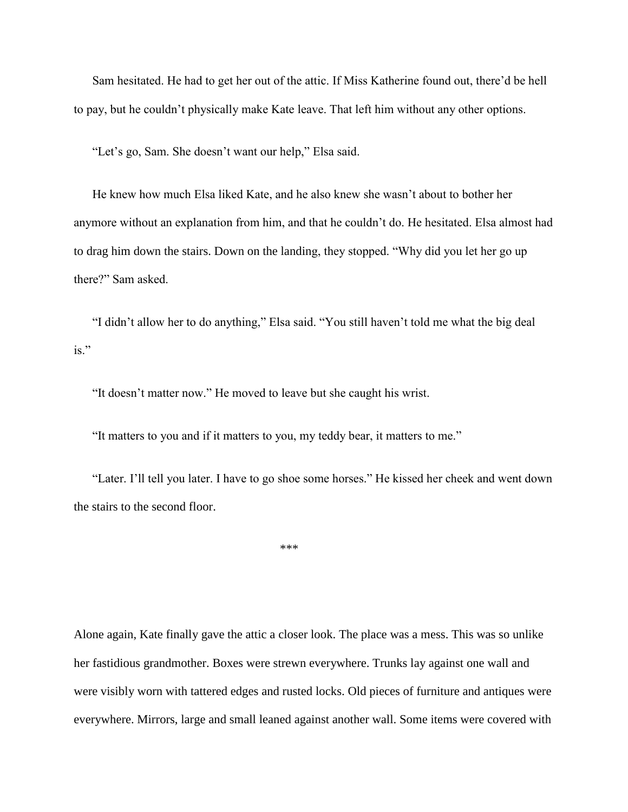Sam hesitated. He had to get her out of the attic. If Miss Katherine found out, there'd be hell to pay, but he couldn't physically make Kate leave. That left him without any other options.

"Let's go, Sam. She doesn't want our help," Elsa said.

 He knew how much Elsa liked Kate, and he also knew she wasn't about to bother her anymore without an explanation from him, and that he couldn't do. He hesitated. Elsa almost had to drag him down the stairs. Down on the landing, they stopped. "Why did you let her go up there?" Sam asked.

 "I didn't allow her to do anything," Elsa said. "You still haven't told me what the big deal is."

"It doesn't matter now." He moved to leave but she caught his wrist.

"It matters to you and if it matters to you, my teddy bear, it matters to me."

 "Later. I'll tell you later. I have to go shoe some horses." He kissed her cheek and went down the stairs to the second floor.

\*\*\*\*

Alone again, Kate finally gave the attic a closer look. The place was a mess. This was so unlike her fastidious grandmother. Boxes were strewn everywhere. Trunks lay against one wall and were visibly worn with tattered edges and rusted locks. Old pieces of furniture and antiques were everywhere. Mirrors, large and small leaned against another wall. Some items were covered with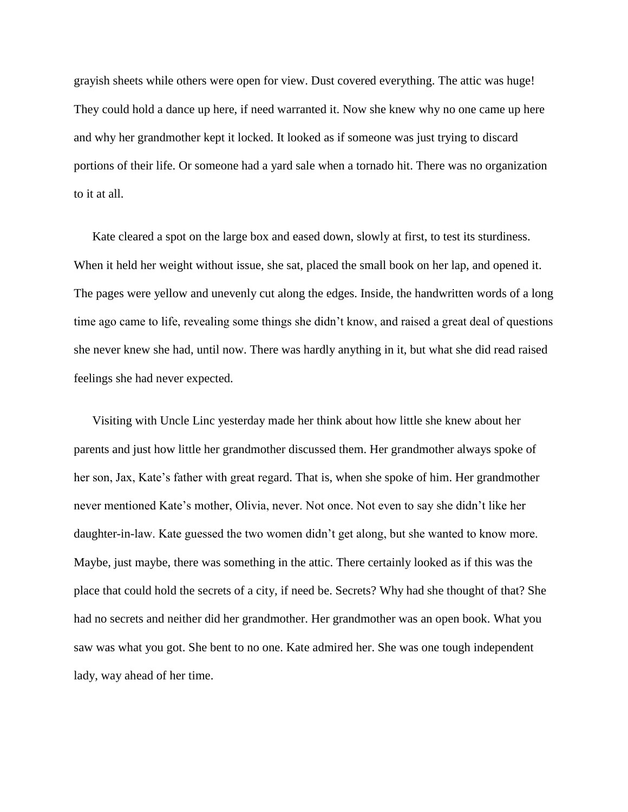grayish sheets while others were open for view. Dust covered everything. The attic was huge! They could hold a dance up here, if need warranted it. Now she knew why no one came up here and why her grandmother kept it locked. It looked as if someone was just trying to discard portions of their life. Or someone had a yard sale when a tornado hit. There was no organization to it at all.

 Kate cleared a spot on the large box and eased down, slowly at first, to test its sturdiness. When it held her weight without issue, she sat, placed the small book on her lap, and opened it. The pages were yellow and unevenly cut along the edges. Inside, the handwritten words of a long time ago came to life, revealing some things she didn't know, and raised a great deal of questions she never knew she had, until now. There was hardly anything in it, but what she did read raised feelings she had never expected.

 Visiting with Uncle Linc yesterday made her think about how little she knew about her parents and just how little her grandmother discussed them. Her grandmother always spoke of her son, Jax, Kate's father with great regard. That is, when she spoke of him. Her grandmother never mentioned Kate's mother, Olivia, never. Not once. Not even to say she didn't like her daughter-in-law. Kate guessed the two women didn't get along, but she wanted to know more. Maybe, just maybe, there was something in the attic. There certainly looked as if this was the place that could hold the secrets of a city, if need be. Secrets? Why had she thought of that? She had no secrets and neither did her grandmother. Her grandmother was an open book. What you saw was what you got. She bent to no one. Kate admired her. She was one tough independent lady, way ahead of her time.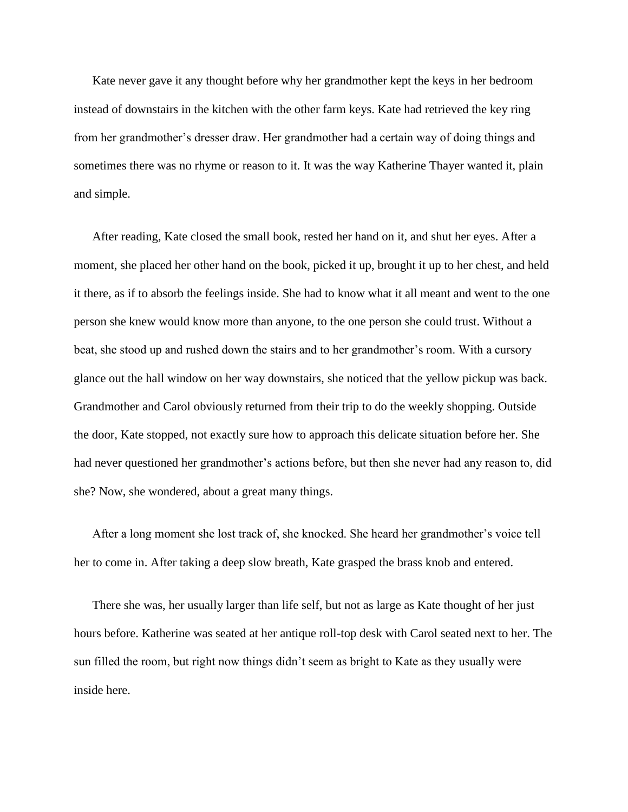Kate never gave it any thought before why her grandmother kept the keys in her bedroom instead of downstairs in the kitchen with the other farm keys. Kate had retrieved the key ring from her grandmother's dresser draw. Her grandmother had a certain way of doing things and sometimes there was no rhyme or reason to it. It was the way Katherine Thayer wanted it, plain and simple.

 After reading, Kate closed the small book, rested her hand on it, and shut her eyes. After a moment, she placed her other hand on the book, picked it up, brought it up to her chest, and held it there, as if to absorb the feelings inside. She had to know what it all meant and went to the one person she knew would know more than anyone, to the one person she could trust. Without a beat, she stood up and rushed down the stairs and to her grandmother's room. With a cursory glance out the hall window on her way downstairs, she noticed that the yellow pickup was back. Grandmother and Carol obviously returned from their trip to do the weekly shopping. Outside the door, Kate stopped, not exactly sure how to approach this delicate situation before her. She had never questioned her grandmother's actions before, but then she never had any reason to, did she? Now, she wondered, about a great many things.

 After a long moment she lost track of, she knocked. She heard her grandmother's voice tell her to come in. After taking a deep slow breath, Kate grasped the brass knob and entered.

 There she was, her usually larger than life self, but not as large as Kate thought of her just hours before. Katherine was seated at her antique roll-top desk with Carol seated next to her. The sun filled the room, but right now things didn't seem as bright to Kate as they usually were inside here.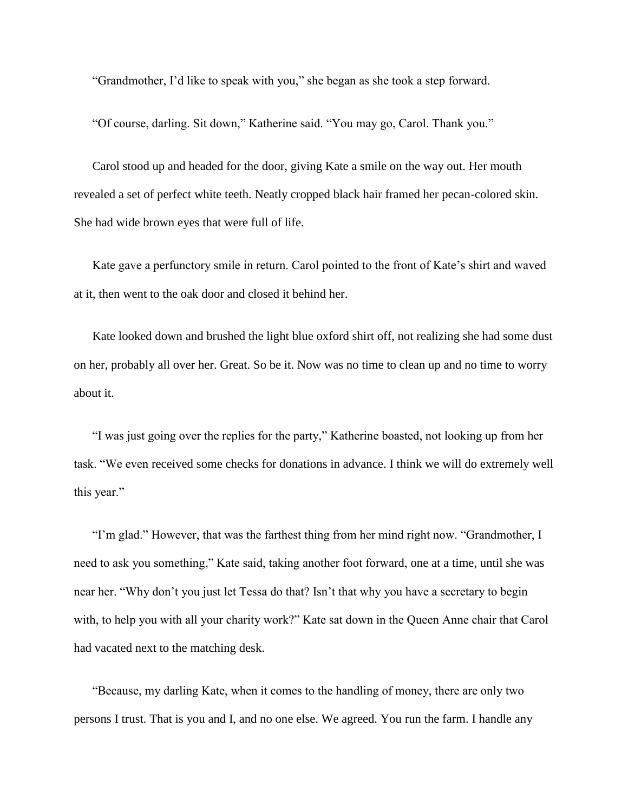"Grandmother, I'd like to speak with you," she began as she took a step forward.

"Of course, darling. Sit down," Katherine said. "You may go, Carol. Thank you."

 Carol stood up and headed for the door, giving Kate a smile on the way out. Her mouth revealed a set of perfect white teeth. Neatly cropped black hair framed her pecan-colored skin. She had wide brown eyes that were full of life.

 Kate gave a perfunctory smile in return. Carol pointed to the front of Kate's shirt and waved at it, then went to the oak door and closed it behind her.

 Kate looked down and brushed the light blue oxford shirt off, not realizing she had some dust on her, probably all over her. Great. So be it. Now was no time to clean up and no time to worry about it.

 "I was just going over the replies for the party," Katherine boasted, not looking up from her task. "We even received some checks for donations in advance. I think we will do extremely well this year."

 "I'm glad." However, that was the farthest thing from her mind right now. "Grandmother, I need to ask you something," Kate said, taking another foot forward, one at a time, until she was near her. "Why don't you just let Tessa do that? Isn't that why you have a secretary to begin with, to help you with all your charity work?" Kate sat down in the Queen Anne chair that Carol had vacated next to the matching desk.

 "Because, my darling Kate, when it comes to the handling of money, there are only two persons I trust. That is you and I, and no one else. We agreed. You run the farm. I handle any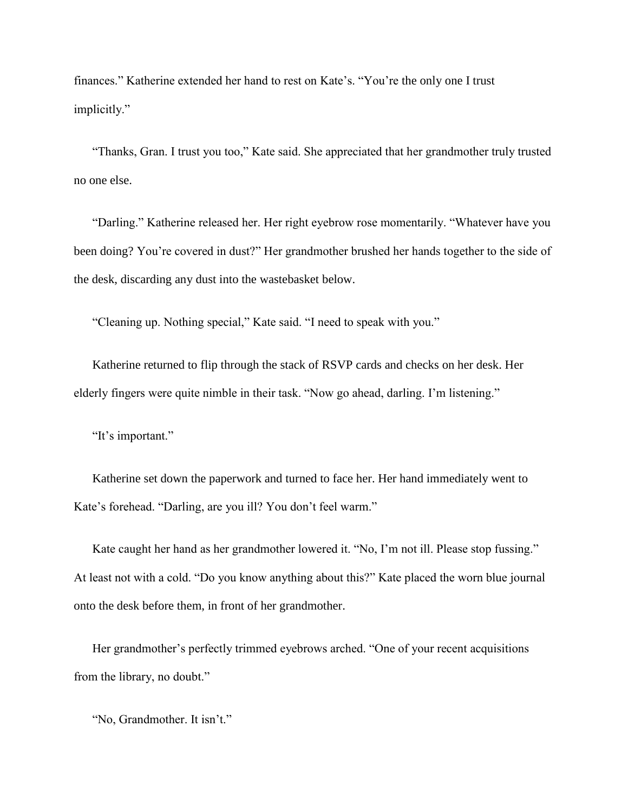finances." Katherine extended her hand to rest on Kate's. "You're the only one I trust implicitly."

 "Thanks, Gran. I trust you too," Kate said. She appreciated that her grandmother truly trusted no one else.

 "Darling." Katherine released her. Her right eyebrow rose momentarily. "Whatever have you been doing? You're covered in dust?" Her grandmother brushed her hands together to the side of the desk, discarding any dust into the wastebasket below.

"Cleaning up. Nothing special," Kate said. "I need to speak with you."

 Katherine returned to flip through the stack of RSVP cards and checks on her desk. Her elderly fingers were quite nimble in their task. "Now go ahead, darling. I'm listening."

"It's important."

 Katherine set down the paperwork and turned to face her. Her hand immediately went to Kate's forehead. "Darling, are you ill? You don't feel warm."

 Kate caught her hand as her grandmother lowered it. "No, I'm not ill. Please stop fussing." At least not with a cold. "Do you know anything about this?" Kate placed the worn blue journal onto the desk before them, in front of her grandmother.

 Her grandmother's perfectly trimmed eyebrows arched. "One of your recent acquisitions from the library, no doubt."

"No, Grandmother. It isn't."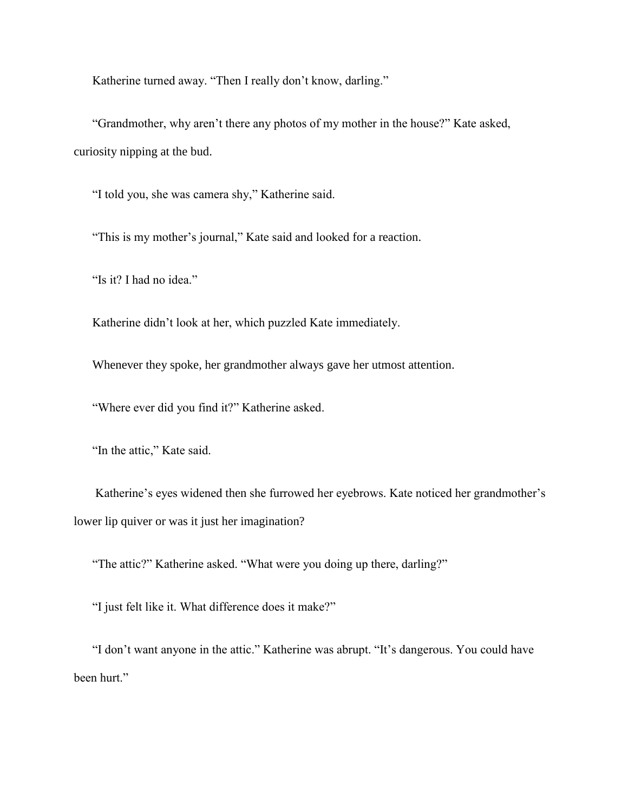Katherine turned away. "Then I really don't know, darling."

 "Grandmother, why aren't there any photos of my mother in the house?" Kate asked, curiosity nipping at the bud.

"I told you, she was camera shy," Katherine said.

"This is my mother's journal," Kate said and looked for a reaction.

"Is it? I had no idea."

Katherine didn't look at her, which puzzled Kate immediately.

Whenever they spoke, her grandmother always gave her utmost attention.

"Where ever did you find it?" Katherine asked.

"In the attic," Kate said.

 Katherine's eyes widened then she furrowed her eyebrows. Kate noticed her grandmother's lower lip quiver or was it just her imagination?

"The attic?" Katherine asked. "What were you doing up there, darling?"

"I just felt like it. What difference does it make?"

 "I don't want anyone in the attic." Katherine was abrupt. "It's dangerous. You could have been hurt."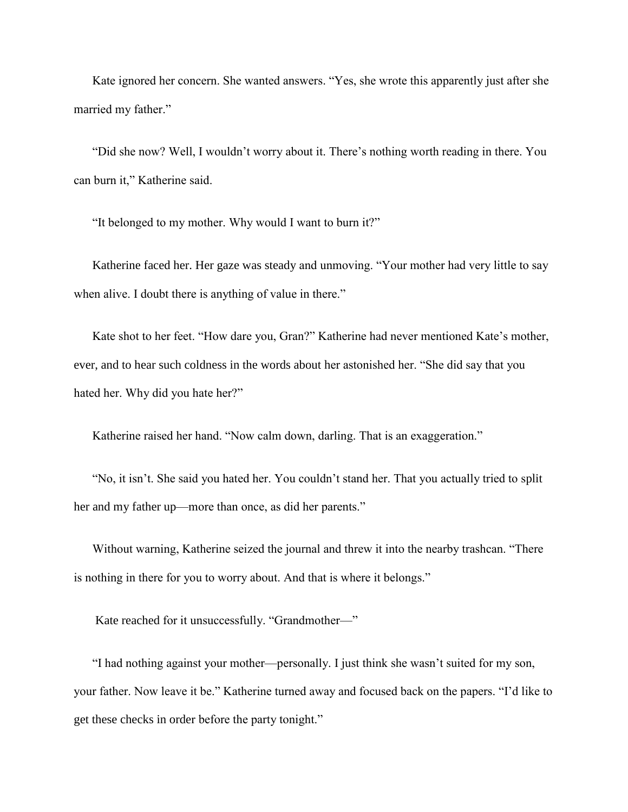Kate ignored her concern. She wanted answers. "Yes, she wrote this apparently just after she married my father."

 "Did she now? Well, I wouldn't worry about it. There's nothing worth reading in there. You can burn it," Katherine said.

"It belonged to my mother. Why would I want to burn it?"

 Katherine faced her. Her gaze was steady and unmoving. "Your mother had very little to say when alive. I doubt there is anything of value in there."

 Kate shot to her feet. "How dare you, Gran?" Katherine had never mentioned Kate's mother, ever, and to hear such coldness in the words about her astonished her. "She did say that you hated her. Why did you hate her?"

Katherine raised her hand. "Now calm down, darling. That is an exaggeration."

 "No, it isn't. She said you hated her. You couldn't stand her. That you actually tried to split her and my father up—more than once, as did her parents."

 Without warning, Katherine seized the journal and threw it into the nearby trashcan. "There is nothing in there for you to worry about. And that is where it belongs."

Kate reached for it unsuccessfully. "Grandmother—"

 "I had nothing against your mother—personally. I just think she wasn't suited for my son, your father. Now leave it be." Katherine turned away and focused back on the papers. "I'd like to get these checks in order before the party tonight."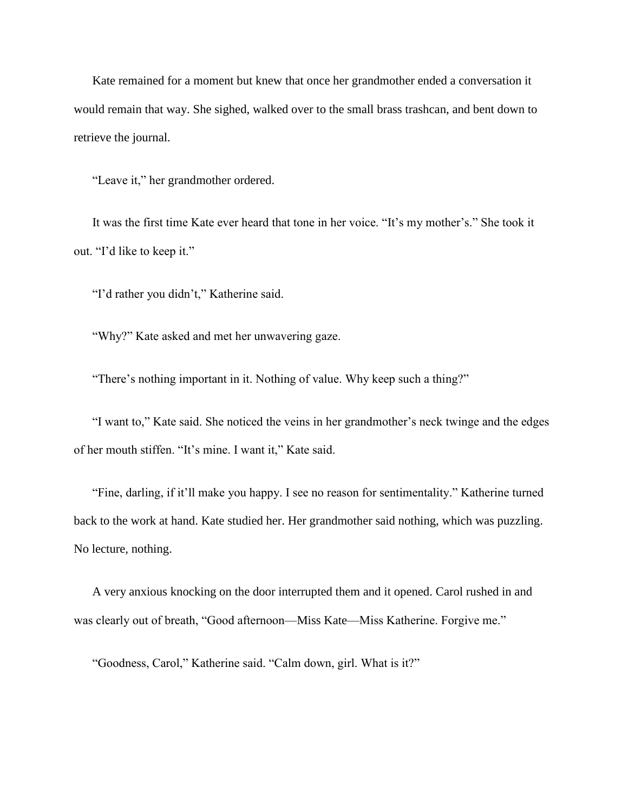Kate remained for a moment but knew that once her grandmother ended a conversation it would remain that way. She sighed, walked over to the small brass trashcan, and bent down to retrieve the journal.

"Leave it," her grandmother ordered.

 It was the first time Kate ever heard that tone in her voice. "It's my mother's." She took it out. "I'd like to keep it."

"I'd rather you didn't," Katherine said.

"Why?" Kate asked and met her unwavering gaze.

"There's nothing important in it. Nothing of value. Why keep such a thing?"

 "I want to," Kate said. She noticed the veins in her grandmother's neck twinge and the edges of her mouth stiffen. "It's mine. I want it," Kate said.

 "Fine, darling, if it'll make you happy. I see no reason for sentimentality." Katherine turned back to the work at hand. Kate studied her. Her grandmother said nothing, which was puzzling. No lecture, nothing.

 A very anxious knocking on the door interrupted them and it opened. Carol rushed in and was clearly out of breath, "Good afternoon—Miss Kate—Miss Katherine. Forgive me."

"Goodness, Carol," Katherine said. "Calm down, girl. What is it?"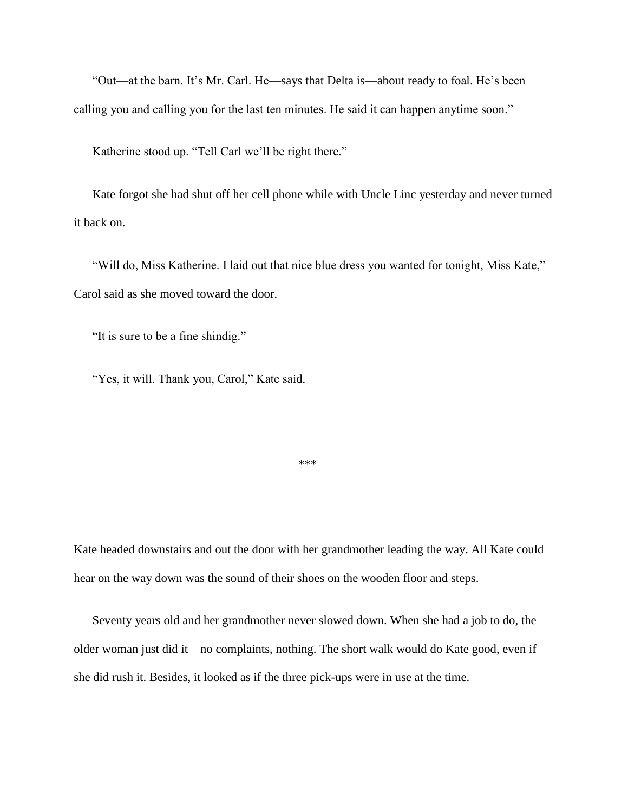"Out—at the barn. It's Mr. Carl. He—says that Delta is—about ready to foal. He's been calling you and calling you for the last ten minutes. He said it can happen anytime soon."

Katherine stood up. "Tell Carl we'll be right there."

 Kate forgot she had shut off her cell phone while with Uncle Linc yesterday and never turned it back on.

 "Will do, Miss Katherine. I laid out that nice blue dress you wanted for tonight, Miss Kate," Carol said as she moved toward the door.

"It is sure to be a fine shindig."

"Yes, it will. Thank you, Carol," Kate said.

\*\*\*\*

Kate headed downstairs and out the door with her grandmother leading the way. All Kate could hear on the way down was the sound of their shoes on the wooden floor and steps.

 Seventy years old and her grandmother never slowed down. When she had a job to do, the older woman just did it—no complaints, nothing. The short walk would do Kate good, even if she did rush it. Besides, it looked as if the three pick-ups were in use at the time.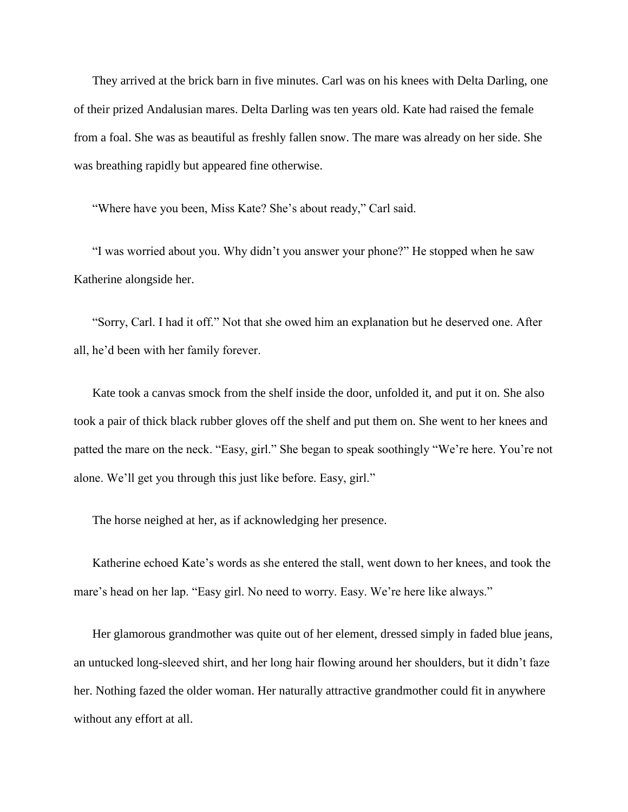They arrived at the brick barn in five minutes. Carl was on his knees with Delta Darling, one of their prized Andalusian mares. Delta Darling was ten years old. Kate had raised the female from a foal. She was as beautiful as freshly fallen snow. The mare was already on her side. She was breathing rapidly but appeared fine otherwise.

"Where have you been, Miss Kate? She's about ready," Carl said.

 "I was worried about you. Why didn't you answer your phone?" He stopped when he saw Katherine alongside her.

 "Sorry, Carl. I had it off." Not that she owed him an explanation but he deserved one. After all, he'd been with her family forever.

 Kate took a canvas smock from the shelf inside the door, unfolded it, and put it on. She also took a pair of thick black rubber gloves off the shelf and put them on. She went to her knees and patted the mare on the neck. "Easy, girl." She began to speak soothingly "We're here. You're not alone. We'll get you through this just like before. Easy, girl."

The horse neighed at her, as if acknowledging her presence.

 Katherine echoed Kate's words as she entered the stall, went down to her knees, and took the mare's head on her lap. "Easy girl. No need to worry. Easy. We're here like always."

 Her glamorous grandmother was quite out of her element, dressed simply in faded blue jeans, an untucked long-sleeved shirt, and her long hair flowing around her shoulders, but it didn't faze her. Nothing fazed the older woman. Her naturally attractive grandmother could fit in anywhere without any effort at all.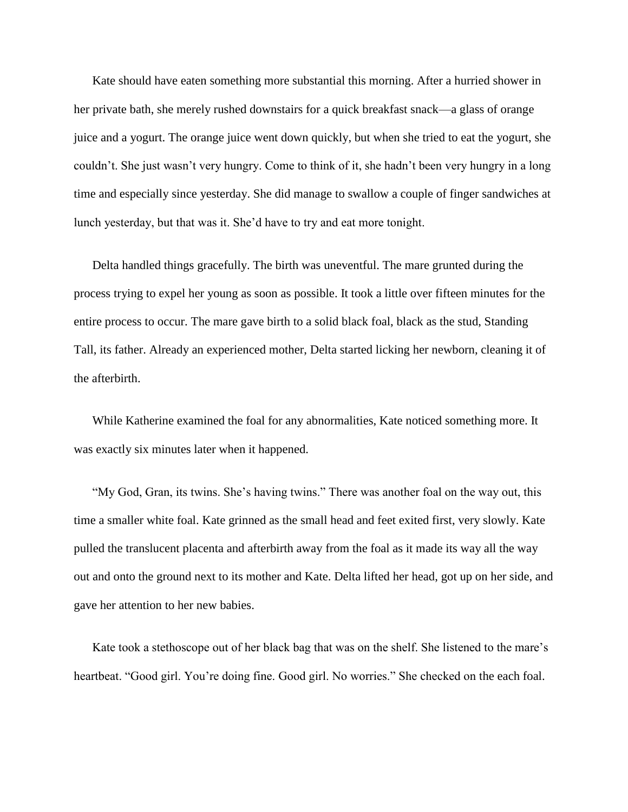Kate should have eaten something more substantial this morning. After a hurried shower in her private bath, she merely rushed downstairs for a quick breakfast snack—a glass of orange juice and a yogurt. The orange juice went down quickly, but when she tried to eat the yogurt, she couldn't. She just wasn't very hungry. Come to think of it, she hadn't been very hungry in a long time and especially since yesterday. She did manage to swallow a couple of finger sandwiches at lunch yesterday, but that was it. She'd have to try and eat more tonight.

 Delta handled things gracefully. The birth was uneventful. The mare grunted during the process trying to expel her young as soon as possible. It took a little over fifteen minutes for the entire process to occur. The mare gave birth to a solid black foal, black as the stud, Standing Tall, its father. Already an experienced mother, Delta started licking her newborn, cleaning it of the afterbirth.

 While Katherine examined the foal for any abnormalities, Kate noticed something more. It was exactly six minutes later when it happened.

 "My God, Gran, its twins. She's having twins." There was another foal on the way out, this time a smaller white foal. Kate grinned as the small head and feet exited first, very slowly. Kate pulled the translucent placenta and afterbirth away from the foal as it made its way all the way out and onto the ground next to its mother and Kate. Delta lifted her head, got up on her side, and gave her attention to her new babies.

 Kate took a stethoscope out of her black bag that was on the shelf. She listened to the mare's heartbeat. "Good girl. You're doing fine. Good girl. No worries." She checked on the each foal.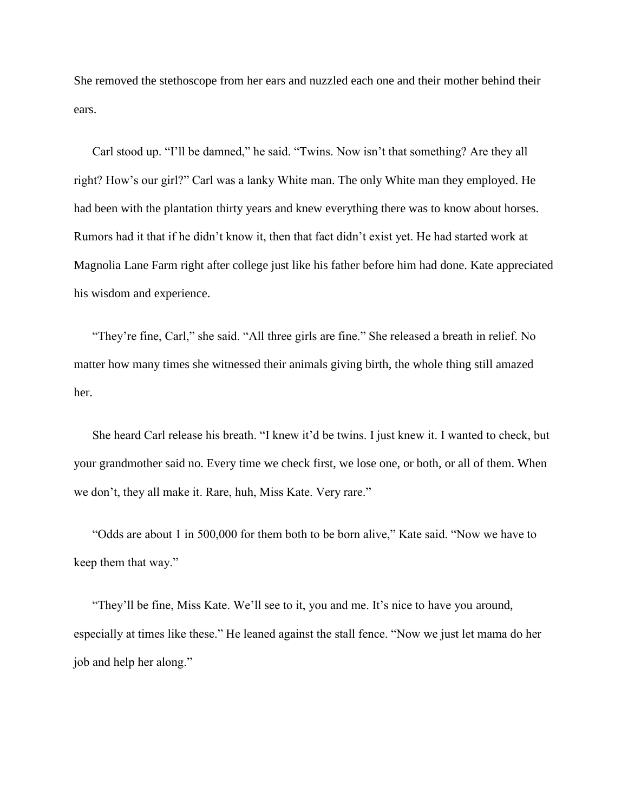She removed the stethoscope from her ears and nuzzled each one and their mother behind their ears.

 Carl stood up. "I'll be damned," he said. "Twins. Now isn't that something? Are they all right? How's our girl?" Carl was a lanky White man. The only White man they employed. He had been with the plantation thirty years and knew everything there was to know about horses. Rumors had it that if he didn't know it, then that fact didn't exist yet. He had started work at Magnolia Lane Farm right after college just like his father before him had done. Kate appreciated his wisdom and experience.

 "They're fine, Carl," she said. "All three girls are fine." She released a breath in relief. No matter how many times she witnessed their animals giving birth, the whole thing still amazed her.

 She heard Carl release his breath. "I knew it'd be twins. I just knew it. I wanted to check, but your grandmother said no. Every time we check first, we lose one, or both, or all of them. When we don't, they all make it. Rare, huh, Miss Kate. Very rare."

 "Odds are about 1 in 500,000 for them both to be born alive," Kate said. "Now we have to keep them that way."

 "They'll be fine, Miss Kate. We'll see to it, you and me. It's nice to have you around, especially at times like these." He leaned against the stall fence. "Now we just let mama do her job and help her along."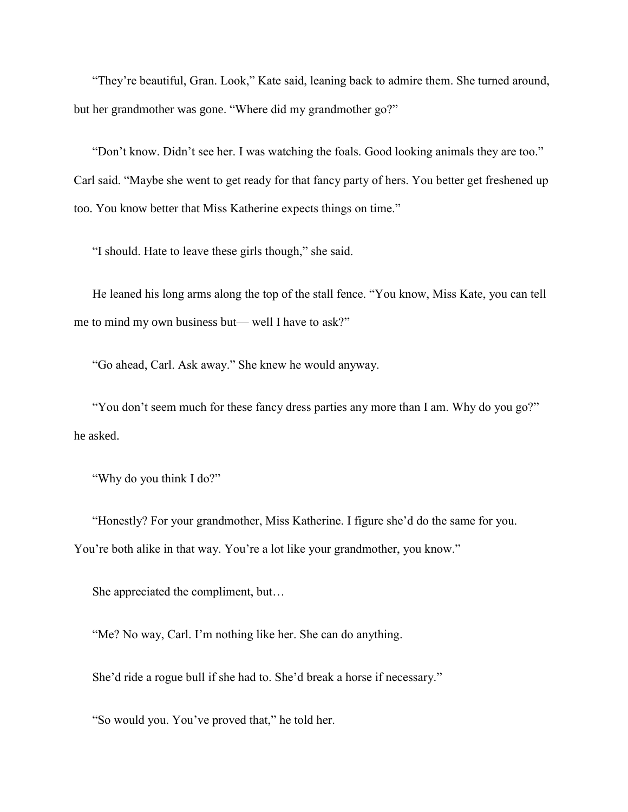"They're beautiful, Gran. Look," Kate said, leaning back to admire them. She turned around, but her grandmother was gone. "Where did my grandmother go?"

 "Don't know. Didn't see her. I was watching the foals. Good looking animals they are too." Carl said. "Maybe she went to get ready for that fancy party of hers. You better get freshened up too. You know better that Miss Katherine expects things on time."

"I should. Hate to leave these girls though," she said.

 He leaned his long arms along the top of the stall fence. "You know, Miss Kate, you can tell me to mind my own business but— well I have to ask?"

"Go ahead, Carl. Ask away." She knew he would anyway.

 "You don't seem much for these fancy dress parties any more than I am. Why do you go?" he asked.

"Why do you think I do?"

 "Honestly? For your grandmother, Miss Katherine. I figure she'd do the same for you. You're both alike in that way. You're a lot like your grandmother, you know."

She appreciated the compliment, but…

"Me? No way, Carl. I'm nothing like her. She can do anything.

She'd ride a rogue bull if she had to. She'd break a horse if necessary."

"So would you. You've proved that," he told her.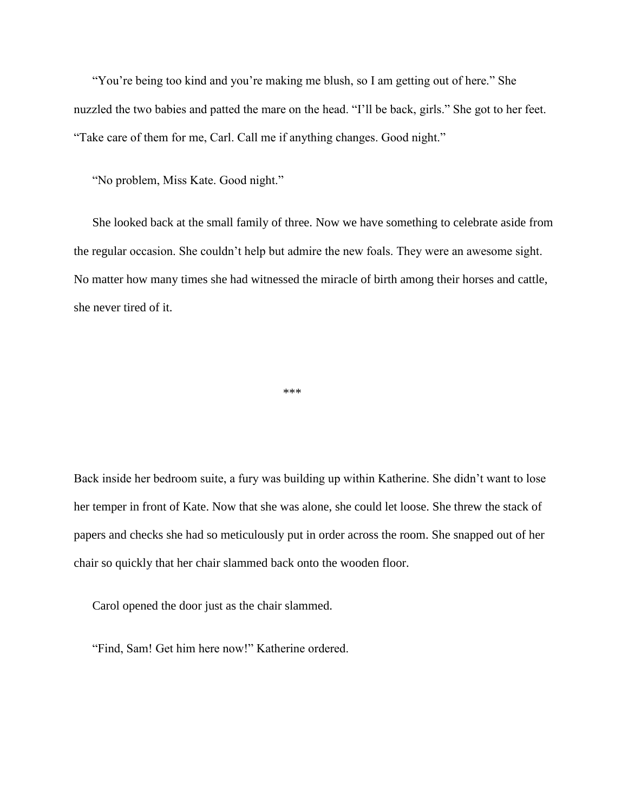"You're being too kind and you're making me blush, so I am getting out of here." She nuzzled the two babies and patted the mare on the head. "I'll be back, girls." She got to her feet. "Take care of them for me, Carl. Call me if anything changes. Good night."

"No problem, Miss Kate. Good night."

 She looked back at the small family of three. Now we have something to celebrate aside from the regular occasion. She couldn't help but admire the new foals. They were an awesome sight. No matter how many times she had witnessed the miracle of birth among their horses and cattle, she never tired of it.

\*\*\*\*

Back inside her bedroom suite, a fury was building up within Katherine. She didn't want to lose her temper in front of Kate. Now that she was alone, she could let loose. She threw the stack of papers and checks she had so meticulously put in order across the room. She snapped out of her chair so quickly that her chair slammed back onto the wooden floor.

Carol opened the door just as the chair slammed.

"Find, Sam! Get him here now!" Katherine ordered.